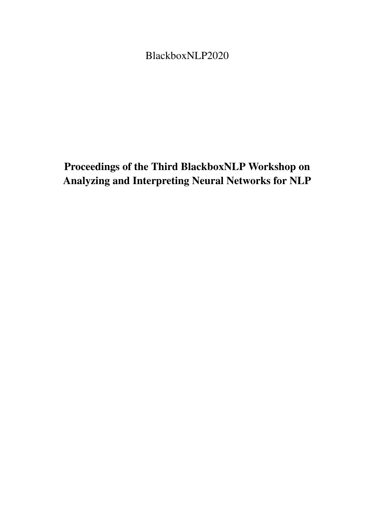<span id="page-0-0"></span>BlackboxNLP2020

# Proceedings of the Third BlackboxNLP Workshop on Analyzing and Interpreting Neural Networks for NLP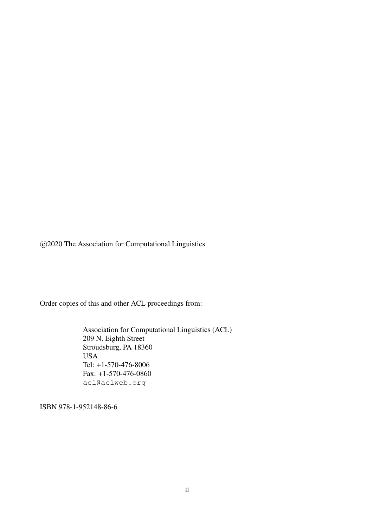c 2020 The Association for Computational Linguistics

Order copies of this and other ACL proceedings from:

Association for Computational Linguistics (ACL) 209 N. Eighth Street Stroudsburg, PA 18360 USA Tel: +1-570-476-8006 Fax: +1-570-476-0860 acl@aclweb.org

ISBN 978-1-952148-86-6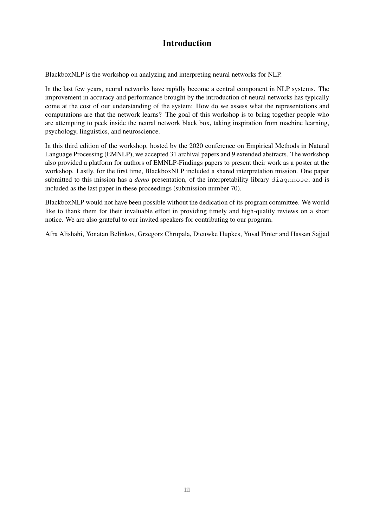### Introduction

BlackboxNLP is the workshop on analyzing and interpreting neural networks for NLP.

In the last few years, neural networks have rapidly become a central component in NLP systems. The improvement in accuracy and performance brought by the introduction of neural networks has typically come at the cost of our understanding of the system: How do we assess what the representations and computations are that the network learns? The goal of this workshop is to bring together people who are attempting to peek inside the neural network black box, taking inspiration from machine learning, psychology, linguistics, and neuroscience.

In this third edition of the workshop, hosted by the 2020 conference on Empirical Methods in Natural Language Processing (EMNLP), we accepted 31 archival papers and 9 extended abstracts. The workshop also provided a platform for authors of EMNLP-Findings papers to present their work as a poster at the workshop. Lastly, for the first time, BlackboxNLP included a shared interpretation mission. One paper submitted to this mission has a *demo* presentation, of the interpretability library diagnnose, and is included as the last paper in these proceedings (submission number 70).

BlackboxNLP would not have been possible without the dedication of its program committee. We would like to thank them for their invaluable effort in providing timely and high-quality reviews on a short notice. We are also grateful to our invited speakers for contributing to our program.

Afra Alishahi, Yonatan Belinkov, Grzegorz Chrupała, Dieuwke Hupkes, Yuval Pinter and Hassan Sajjad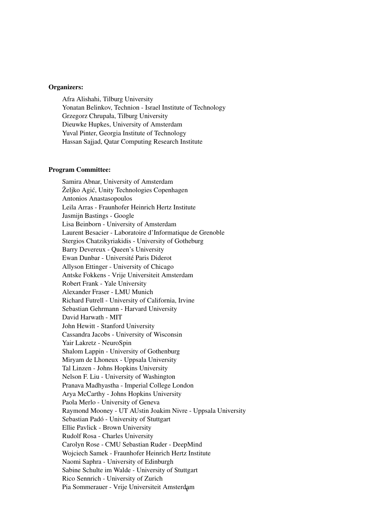#### Organizers:

Afra Alishahi, Tilburg University Yonatan Belinkov, Technion - Israel Institute of Technology Grzegorz Chrupała, Tilburg University Dieuwke Hupkes, University of Amsterdam Yuval Pinter, Georgia Institute of Technology Hassan Sajjad, Qatar Computing Research Institute

#### Program Committee:

Samira Abnar, University of Amsterdam Željko Agic, Unity Technologies Copenhagen ´ Antonios Anastasopoulos Leila Arras - Fraunhofer Heinrich Hertz Institute Jasmijn Bastings - Google Lisa Beinborn - University of Amsterdam Laurent Besacier - Laboratoire d'Informatique de Grenoble Stergios Chatzikyriakidis - University of Gotheburg Barry Devereux - Queen's University Ewan Dunbar - Université Paris Diderot Allyson Ettinger - University of Chicago Antske Fokkens - Vrije Universiteit Amsterdam Robert Frank - Yale University Alexander Fraser - LMU Munich Richard Futrell - University of California, Irvine Sebastian Gehrmann - Harvard University David Harwath - MIT John Hewitt - Stanford University Cassandra Jacobs - University of Wisconsin Yair Lakretz - NeuroSpin Shalom Lappin - University of Gothenburg Miryam de Lhoneux - Uppsala University Tal Linzen - Johns Hopkins University Nelson F. Liu - University of Washington Pranava Madhyastha - Imperial College London Arya McCarthy - Johns Hopkins University Paola Merlo - University of Geneva Raymond Mooney - UT AUstin Joakim Nivre - Uppsala University Sebastian Padó - University of Stuttgart Ellie Pavlick - Brown University Rudolf Rosa - Charles University Carolyn Rose - CMU Sebastian Ruder - DeepMind Wojciech Samek - Fraunhofer Heinrich Hertz Institute Naomi Saphra - University of Edinburgh Sabine Schulte im Walde - University of Stuttgart Rico Sennrich - University of Zurich Pia Sommerauer - Vrije Universiteit Amsterdamv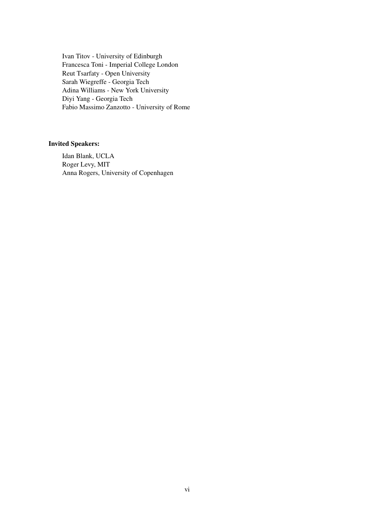Ivan Titov - University of Edinburgh Francesca Toni - Imperial College London Reut Tsarfaty - Open University Sarah Wiegreffe - Georgia Tech Adina Williams - New York University Diyi Yang - Georgia Tech Fabio Massimo Zanzotto - University of Rome

### Invited Speakers:

Idan Blank, UCLA Roger Levy, MIT Anna Rogers, University of Copenhagen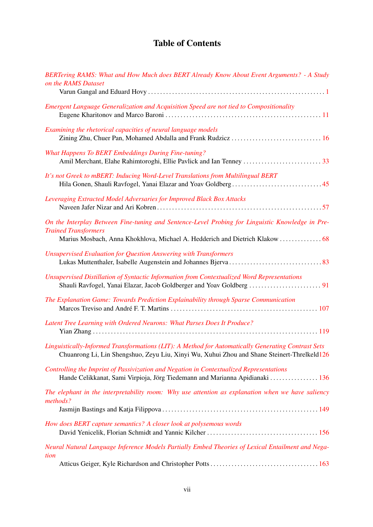## Table of Contents

| BERTering RAMS: What and How Much does BERT Already Know About Event Arguments? - A Study<br>on the RAMS Dataset                                                                                                |
|-----------------------------------------------------------------------------------------------------------------------------------------------------------------------------------------------------------------|
| Emergent Language Generalization and Acquisition Speed are not tied to Compositionality                                                                                                                         |
| Examining the rhetorical capacities of neural language models                                                                                                                                                   |
| <b>What Happens To BERT Embeddings During Fine-tuning?</b>                                                                                                                                                      |
| It's not Greek to mBERT: Inducing Word-Level Translations from Multilingual BERT                                                                                                                                |
| Leveraging Extracted Model Adversaries for Improved Black Box Attacks                                                                                                                                           |
| On the Interplay Between Fine-tuning and Sentence-Level Probing for Linguistic Knowledge in Pre-<br><b>Trained Transformers</b><br>Marius Mosbach, Anna Khokhlova, Michael A. Hedderich and Dietrich Klakow  68 |
| <b>Unsupervised Evaluation for Question Answering with Transformers</b>                                                                                                                                         |
| Unsupervised Distillation of Syntactic Information from Contextualized Word Representations                                                                                                                     |
| The Explanation Game: Towards Prediction Explainability through Sparse Communication                                                                                                                            |
| Latent Tree Learning with Ordered Neurons: What Parses Does It Produce?                                                                                                                                         |
| Linguistically-Informed Transformations (LIT): A Method for Automatically Generating Contrast Sets<br>Chuanrong Li, Lin Shengshuo, Zeyu Liu, Xinyi Wu, Xuhui Zhou and Shane Steinert-Threlkeld126               |
| Controlling the Imprint of Passivization and Negation in Contextualized Representations<br>Hande Celikkanat, Sami Virpioja, Jörg Tiedemann and Marianna Apidianaki  136                                         |
| The elephant in the interpretability room: Why use attention as explanation when we have saliency<br>methods?                                                                                                   |
| How does BERT capture semantics? A closer look at polysemous words                                                                                                                                              |
| Neural Natural Language Inference Models Partially Embed Theories of Lexical Entailment and Nega-                                                                                                               |
| tion                                                                                                                                                                                                            |
|                                                                                                                                                                                                                 |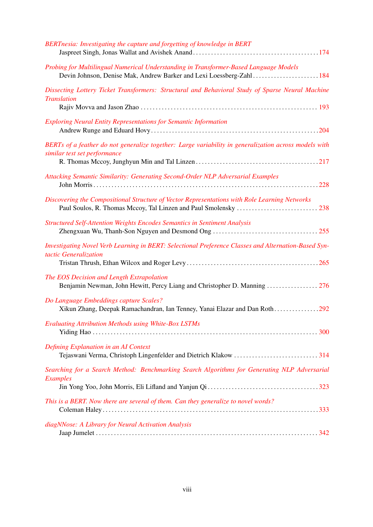| BERTnesia: Investigating the capture and forgetting of knowledge in BERT                                                                                     |
|--------------------------------------------------------------------------------------------------------------------------------------------------------------|
| Probing for Multilingual Numerical Understanding in Transformer-Based Language Models<br>Devin Johnson, Denise Mak, Andrew Barker and Lexi Loessberg-Zahl184 |
| Dissecting Lottery Ticket Transformers: Structural and Behavioral Study of Sparse Neural Machine<br><b>Translation</b>                                       |
| <b>Exploring Neural Entity Representations for Semantic Information</b>                                                                                      |
| BERTs of a feather do not generalize together: Large variability in generalization across models with<br>similar test set performance                        |
| Attacking Semantic Similarity: Generating Second-Order NLP Adversarial Examples                                                                              |
| Discovering the Compositional Structure of Vector Representations with Role Learning Networks                                                                |
| <b>Structured Self-Attention Weights Encodes Semantics in Sentiment Analysis</b>                                                                             |
| Investigating Novel Verb Learning in BERT: Selectional Preference Classes and Alternation-Based Syn-<br>tactic Generalization                                |
| The EOS Decision and Length Extrapolation                                                                                                                    |
| Do Language Embeddings capture Scales?<br>Xikun Zhang, Deepak Ramachandran, Ian Tenney, Yanai Elazar and Dan Roth292                                         |
| <b>Evaluating Attribution Methods using White-Box LSTMs</b>                                                                                                  |
| Defining Explanation in an AI Context<br>Tejaswani Verma, Christoph Lingenfelder and Dietrich Klakow 314                                                     |
| Searching for a Search Method: Benchmarking Search Algorithms for Generating NLP Adversarial<br><b>Examples</b>                                              |
| This is a BERT. Now there are several of them. Can they generalize to novel words?                                                                           |
| diagNNose: A Library for Neural Activation Analysis                                                                                                          |